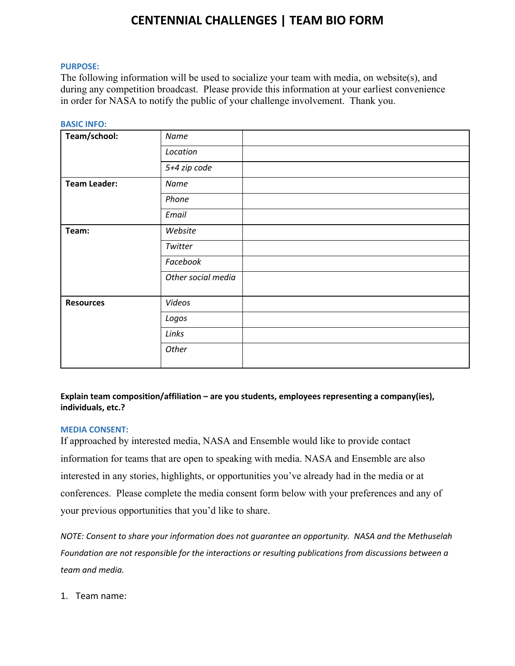# **CENTENNIAL CHALLENGES | TEAM BIO FORM**

#### **PURPOSE:**

The following information will be used to socialize your team with media, on website(s), and during any competition broadcast. Please provide this information at your earliest convenience in order for NASA to notify the public of your challenge involvement. Thank you.

| <b>BASIC INFO:</b>  |                    |  |
|---------------------|--------------------|--|
| Team/school:        | Name               |  |
|                     | Location           |  |
|                     | 5+4 zip code       |  |
| <b>Team Leader:</b> | Name               |  |
|                     | Phone              |  |
|                     | Email              |  |
| Team:               | Website            |  |
|                     | Twitter            |  |
|                     | Facebook           |  |
|                     | Other social media |  |
| <b>Resources</b>    | Videos             |  |
|                     | Logos              |  |
|                     | Links              |  |
|                     | Other              |  |

### **Explain team composition/affiliation – are you students, employees representing a company(ies), individuals, etc.?**

### **MEDIA CONSENT:**

If approached by interested media, NASA and Ensemble would like to provide contact information for teams that are open to speaking with media. NASA and Ensemble are also interested in any stories, highlights, or opportunities you've already had in the media or at conferences. Please complete the media consent form below with your preferences and any of your previous opportunities that you'd like to share.

*NOTE: Consent to share your information does not guarantee an opportunity. NASA and the Methuselah Foundation are not responsible for the interactions or resulting publications from discussions between a team and media.*

1. Team name: